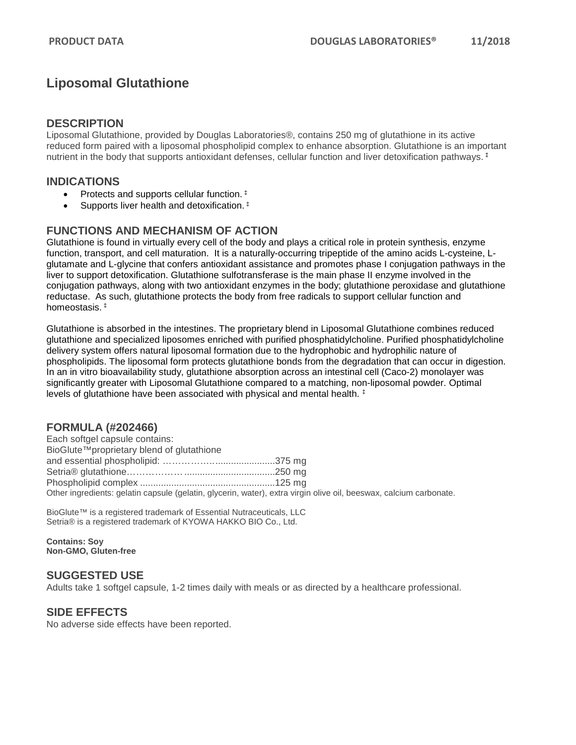# **Liposomal Glutathione**

#### **DESCRIPTION**

Liposomal Glutathione, provided by Douglas Laboratories®, contains 250 mg of glutathione in its active reduced form paired with a liposomal phospholipid complex to enhance absorption. Glutathione is an important nutrient in the body that supports antioxidant defenses, cellular function and liver detoxification pathways. ‡

## **INDICATIONS**

- Protects and supports cellular function.  $\ddagger$
- Supports liver health and detoxification.<sup>#</sup>

## **FUNCTIONS AND MECHANISM OF ACTION**

Glutathione is found in virtually every cell of the body and plays a critical role in protein synthesis, enzyme function, transport, and cell maturation. It is a naturally-occurring tripeptide of the amino acids L-cysteine, Lglutamate and L-glycine that confers antioxidant assistance and promotes phase I conjugation pathways in the liver to support detoxification. Glutathione sulfotransferase is the main phase II enzyme involved in the conjugation pathways, along with two antioxidant enzymes in the body; glutathione peroxidase and glutathione reductase. As such, glutathione protects the body from free radicals to support cellular function and homeostasis. ‡

Glutathione is absorbed in the intestines. The proprietary blend in Liposomal Glutathione combines reduced glutathione and specialized liposomes enriched with purified phosphatidylcholine. Purified phosphatidylcholine delivery system offers natural liposomal formation due to the hydrophobic and hydrophilic nature of phospholipids. The liposomal form protects glutathione bonds from the degradation that can occur in digestion. In an in vitro bioavailability study, glutathione absorption across an intestinal cell (Caco-2) monolayer was significantly greater with Liposomal Glutathione compared to a matching, non-liposomal powder. Optimal levels of glutathione have been associated with physical and mental health. ‡

## **FORMULA (#202466)**

| Each softgel capsule contains:            |                                                                                                                    |  |
|-------------------------------------------|--------------------------------------------------------------------------------------------------------------------|--|
| BioGlute™proprietary blend of glutathione |                                                                                                                    |  |
|                                           |                                                                                                                    |  |
|                                           |                                                                                                                    |  |
|                                           |                                                                                                                    |  |
|                                           | Other ingredients: gelatin capsule (gelatin, glycerin, water), extra virgin olive oil, beeswax, calcium carbonate. |  |

BioGlute™ is a registered trademark of Essential Nutraceuticals, LLC Setria® is a registered trademark of KYOWA HAKKO BIO Co., Ltd.

**Contains: Soy Non-GMO, Gluten-free**

#### **SUGGESTED USE**

Adults take 1 softgel capsule, 1-2 times daily with meals or as directed by a healthcare professional.

## **SIDE EFFECTS**

No adverse side effects have been reported.